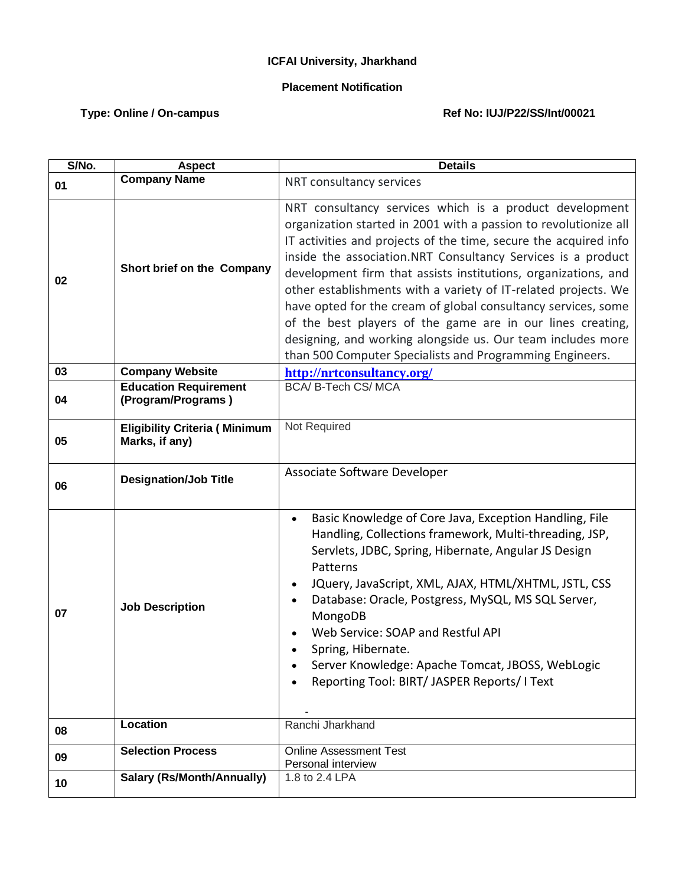## **ICFAI University, Jharkhand**

## **Placement Notification**

## Type: Online / On-campus **Ref No: IUJ/P22/SS/Int/00021**

| S/No. | <b>Aspect</b>                                          | <b>Details</b>                                                                                                                                                                                                                                                                                                                                                                                                                                                                                                                                                                                                                                                |
|-------|--------------------------------------------------------|---------------------------------------------------------------------------------------------------------------------------------------------------------------------------------------------------------------------------------------------------------------------------------------------------------------------------------------------------------------------------------------------------------------------------------------------------------------------------------------------------------------------------------------------------------------------------------------------------------------------------------------------------------------|
| 01    | <b>Company Name</b>                                    | NRT consultancy services                                                                                                                                                                                                                                                                                                                                                                                                                                                                                                                                                                                                                                      |
| 02    | Short brief on the Company                             | NRT consultancy services which is a product development<br>organization started in 2001 with a passion to revolutionize all<br>IT activities and projects of the time, secure the acquired info<br>inside the association.NRT Consultancy Services is a product<br>development firm that assists institutions, organizations, and<br>other establishments with a variety of IT-related projects. We<br>have opted for the cream of global consultancy services, some<br>of the best players of the game are in our lines creating,<br>designing, and working alongside us. Our team includes more<br>than 500 Computer Specialists and Programming Engineers. |
| 03    | <b>Company Website</b>                                 | http://nrtconsultancy.org/                                                                                                                                                                                                                                                                                                                                                                                                                                                                                                                                                                                                                                    |
| 04    | <b>Education Requirement</b><br>(Program/Programs)     | <b>BCA/ B-Tech CS/ MCA</b>                                                                                                                                                                                                                                                                                                                                                                                                                                                                                                                                                                                                                                    |
| 05    | <b>Eligibility Criteria (Minimum</b><br>Marks, if any) | Not Required                                                                                                                                                                                                                                                                                                                                                                                                                                                                                                                                                                                                                                                  |
| 06    | <b>Designation/Job Title</b>                           | Associate Software Developer                                                                                                                                                                                                                                                                                                                                                                                                                                                                                                                                                                                                                                  |
| 07    | <b>Job Description</b>                                 | Basic Knowledge of Core Java, Exception Handling, File<br>$\bullet$<br>Handling, Collections framework, Multi-threading, JSP,<br>Servlets, JDBC, Spring, Hibernate, Angular JS Design<br>Patterns<br>JQuery, JavaScript, XML, AJAX, HTML/XHTML, JSTL, CSS<br>$\bullet$<br>Database: Oracle, Postgress, MySQL, MS SQL Server,<br>$\bullet$<br>MongoDB<br>Web Service: SOAP and Restful API<br>Spring, Hibernate.<br>Server Knowledge: Apache Tomcat, JBOSS, WebLogic<br>Reporting Tool: BIRT/ JASPER Reports/ I Text                                                                                                                                           |
| 08    | Location                                               | Ranchi Jharkhand                                                                                                                                                                                                                                                                                                                                                                                                                                                                                                                                                                                                                                              |
| 09    | <b>Selection Process</b>                               | <b>Online Assessment Test</b><br>Personal interview                                                                                                                                                                                                                                                                                                                                                                                                                                                                                                                                                                                                           |
| 10    | <b>Salary (Rs/Month/Annually)</b>                      | 1.8 to 2.4 LPA                                                                                                                                                                                                                                                                                                                                                                                                                                                                                                                                                                                                                                                |